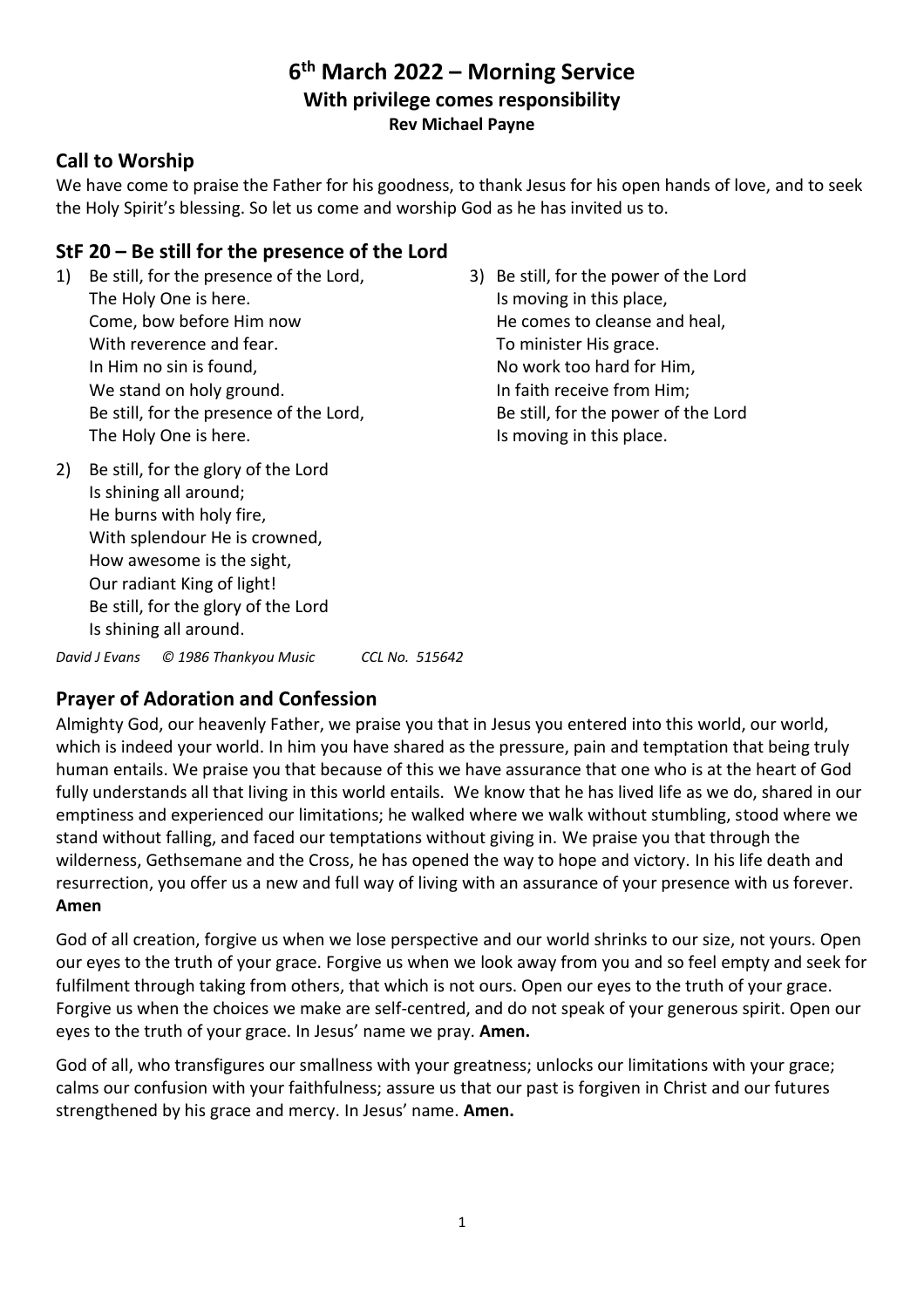## **6 th March 2022 – Morning Service With privilege comes responsibility Rev Michael Payne**

## **Call to Worship**

We have come to praise the Father for his goodness, to thank Jesus for his open hands of love, and to seek the Holy Spirit's blessing. So let us come and worship God as he has invited us to.

### **StF 20 – Be still for the presence of the Lord**

- 1) Be still, for the presence of the Lord, The Holy One is here. Come, bow before Him now With reverence and fear. In Him no sin is found, We stand on holy ground. Be still, for the presence of the Lord, The Holy One is here.
- 3) Be still, for the power of the Lord Is moving in this place, He comes to cleanse and heal, To minister His grace. No work too hard for Him, In faith receive from Him; Be still, for the power of the Lord Is moving in this place.
- 2) Be still, for the glory of the Lord Is shining all around; He burns with holy fire, With splendour He is crowned, How awesome is the sight, Our radiant King of light! Be still, for the glory of the Lord Is shining all around.

*David J Evans © 1986 Thankyou Music CCL No. 515642*

# **Prayer of Adoration and Confession**

Almighty God, our heavenly Father, we praise you that in Jesus you entered into this world, our world, which is indeed your world. In him you have shared as the pressure, pain and temptation that being truly human entails. We praise you that because of this we have assurance that one who is at the heart of God fully understands all that living in this world entails. We know that he has lived life as we do, shared in our emptiness and experienced our limitations; he walked where we walk without stumbling, stood where we stand without falling, and faced our temptations without giving in. We praise you that through the wilderness, Gethsemane and the Cross, he has opened the way to hope and victory. In his life death and resurrection, you offer us a new and full way of living with an assurance of your presence with us forever. **Amen**

God of all creation, forgive us when we lose perspective and our world shrinks to our size, not yours. Open our eyes to the truth of your grace. Forgive us when we look away from you and so feel empty and seek for fulfilment through taking from others, that which is not ours. Open our eyes to the truth of your grace. Forgive us when the choices we make are self-centred, and do not speak of your generous spirit. Open our eyes to the truth of your grace. In Jesus' name we pray. **Amen.**

God of all, who transfigures our smallness with your greatness; unlocks our limitations with your grace; calms our confusion with your faithfulness; assure us that our past is forgiven in Christ and our futures strengthened by his grace and mercy. In Jesus' name. **Amen.**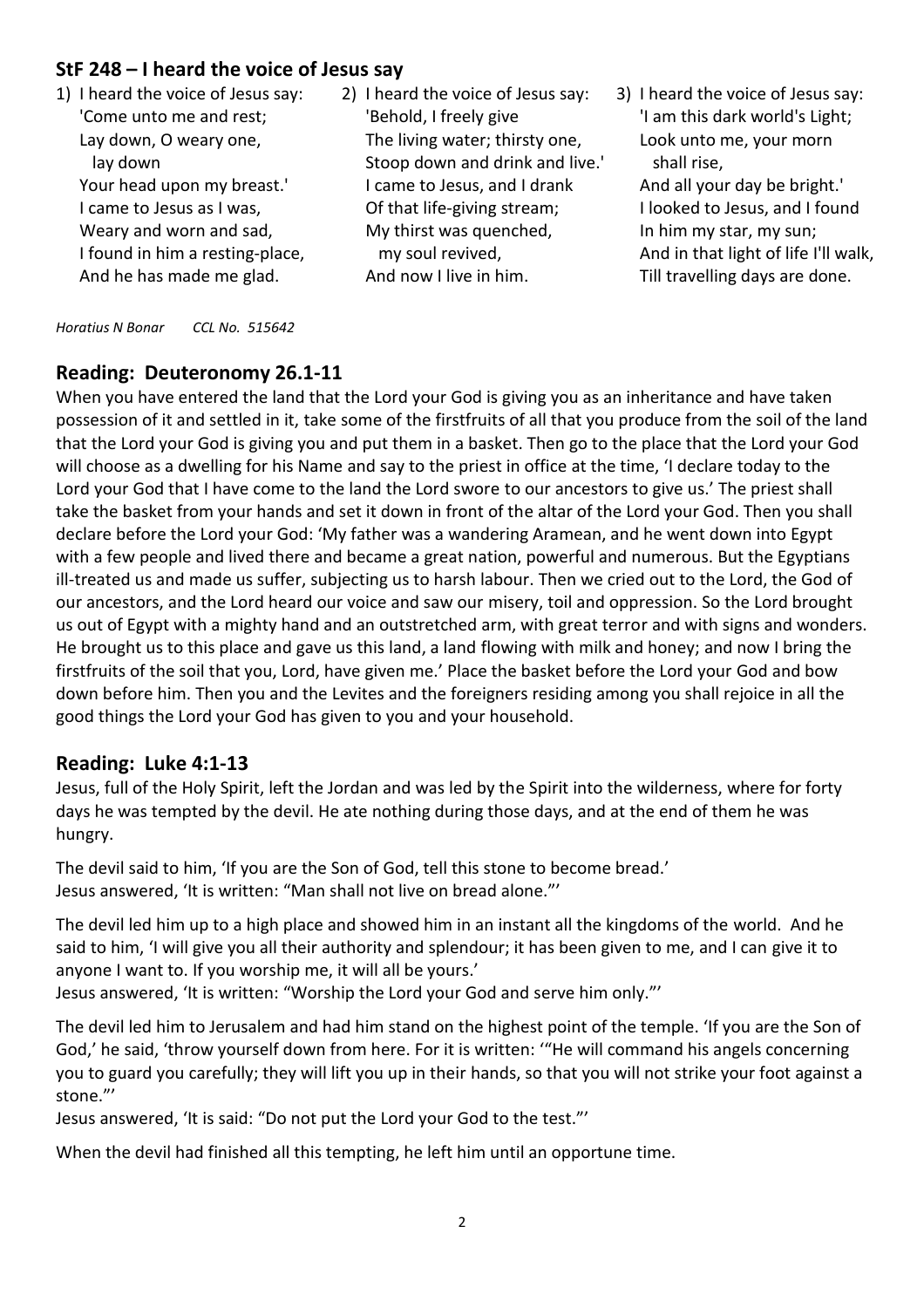## **StF 248 – I heard the voice of Jesus say**

- 1) I heard the voice of Jesus say: 'Come unto me and rest; Lay down, O weary one, lay down Your head upon my breast.' I came to Jesus as I was, Weary and worn and sad, I found in him a resting-place, And he has made me glad.
- 2) I heard the voice of Jesus say: 'Behold, I freely give The living water; thirsty one, Stoop down and drink and live.' I came to Jesus, and I drank Of that life-giving stream; My thirst was quenched, my soul revived, And now I live in him.
- 3) I heard the voice of Jesus say: 'I am this dark world's Light; Look unto me, your morn shall rise,

And all your day be bright.' I looked to Jesus, and I found In him my star, my sun; And in that light of life I'll walk, Till travelling days are done.

*Horatius N Bonar CCL No. 515642*

#### **Reading: Deuteronomy 26.1-11**

When you have entered the land that the Lord your God is giving you as an inheritance and have taken possession of it and settled in it, take some of the firstfruits of all that you produce from the soil of the land that the Lord your God is giving you and put them in a basket. Then go to the place that the Lord your God will choose as a dwelling for his Name and say to the priest in office at the time, 'I declare today to the Lord your God that I have come to the land the Lord swore to our ancestors to give us.' The priest shall take the basket from your hands and set it down in front of the altar of the Lord your God. Then you shall declare before the Lord your God: 'My father was a wandering Aramean, and he went down into Egypt with a few people and lived there and became a great nation, powerful and numerous. But the Egyptians ill-treated us and made us suffer, subjecting us to harsh labour. Then we cried out to the Lord, the God of our ancestors, and the Lord heard our voice and saw our misery, toil and oppression. So the Lord brought us out of Egypt with a mighty hand and an outstretched arm, with great terror and with signs and wonders. He brought us to this place and gave us this land, a land flowing with milk and honey; and now I bring the firstfruits of the soil that you, Lord, have given me.' Place the basket before the Lord your God and bow down before him. Then you and the Levites and the foreigners residing among you shall rejoice in all the good things the Lord your God has given to you and your household.

#### **Reading: Luke 4:1-13**

Jesus, full of the Holy Spirit, left the Jordan and was led by the Spirit into the wilderness, where for forty days he was tempted by the devil. He ate nothing during those days, and at the end of them he was hungry.

The devil said to him, 'If you are the Son of God, tell this stone to become bread.' Jesus answered, 'It is written: "Man shall not live on bread alone."'

The devil led him up to a high place and showed him in an instant all the kingdoms of the world. And he said to him, 'I will give you all their authority and splendour; it has been given to me, and I can give it to anyone I want to. If you worship me, it will all be yours.'

Jesus answered, 'It is written: "Worship the Lord your God and serve him only."'

The devil led him to Jerusalem and had him stand on the highest point of the temple. 'If you are the Son of God,' he said, 'throw yourself down from here. For it is written: '"He will command his angels concerning you to guard you carefully; they will lift you up in their hands, so that you will not strike your foot against a stone."'

Jesus answered, 'It is said: "Do not put the Lord your God to the test."'

When the devil had finished all this tempting, he left him until an opportune time.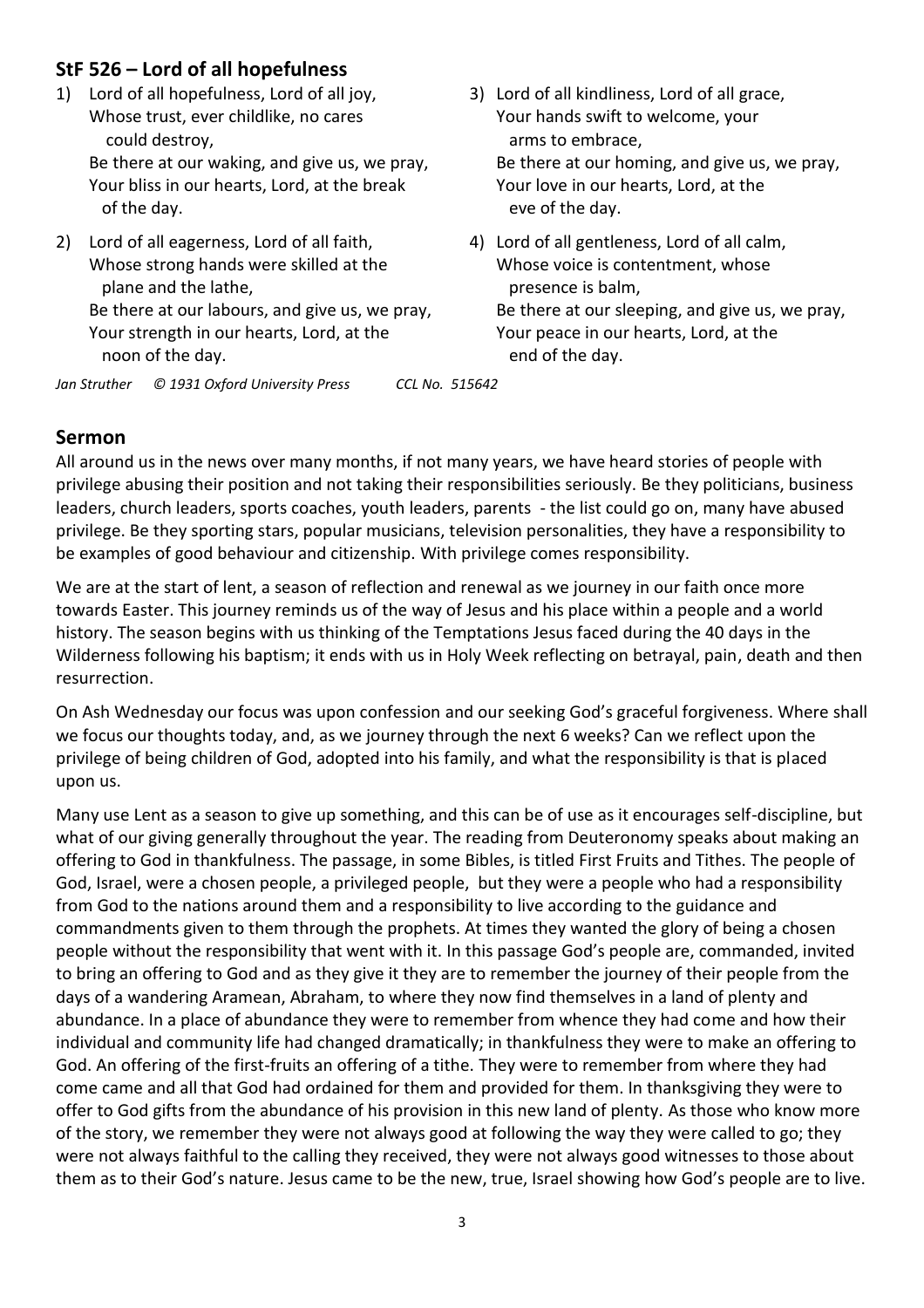## **StF 526 – Lord of all hopefulness**

1) Lord of all hopefulness, Lord of all joy, Whose trust, ever childlike, no cares could destroy,

Be there at our waking, and give us, we pray, Your bliss in our hearts, Lord, at the break of the day.

- 2) Lord of all eagerness, Lord of all faith, Whose strong hands were skilled at the plane and the lathe, Be there at our labours, and give us, we pray, Your strength in our hearts, Lord, at the noon of the day.
- 3) Lord of all kindliness, Lord of all grace, Your hands swift to welcome, your arms to embrace, Be there at our homing, and give us, we pray, Your love in our hearts, Lord, at the eve of the day.
- 4) Lord of all gentleness, Lord of all calm, Whose voice is contentment, whose presence is balm, Be there at our sleeping, and give us, we pray, Your peace in our hearts, Lord, at the end of the day.

*Jan Struther © 1931 Oxford University Press CCL No. 515642*

#### **Sermon**

All around us in the news over many months, if not many years, we have heard stories of people with privilege abusing their position and not taking their responsibilities seriously. Be they politicians, business leaders, church leaders, sports coaches, youth leaders, parents - the list could go on, many have abused privilege. Be they sporting stars, popular musicians, television personalities, they have a responsibility to be examples of good behaviour and citizenship. With privilege comes responsibility.

We are at the start of lent, a season of reflection and renewal as we journey in our faith once more towards Easter. This journey reminds us of the way of Jesus and his place within a people and a world history. The season begins with us thinking of the Temptations Jesus faced during the 40 days in the Wilderness following his baptism; it ends with us in Holy Week reflecting on betrayal, pain, death and then resurrection.

On Ash Wednesday our focus was upon confession and our seeking God's graceful forgiveness. Where shall we focus our thoughts today, and, as we journey through the next 6 weeks? Can we reflect upon the privilege of being children of God, adopted into his family, and what the responsibility is that is placed upon us.

Many use Lent as a season to give up something, and this can be of use as it encourages self-discipline, but what of our giving generally throughout the year. The reading from Deuteronomy speaks about making an offering to God in thankfulness. The passage, in some Bibles, is titled First Fruits and Tithes. The people of God, Israel, were a chosen people, a privileged people, but they were a people who had a responsibility from God to the nations around them and a responsibility to live according to the guidance and commandments given to them through the prophets. At times they wanted the glory of being a chosen people without the responsibility that went with it. In this passage God's people are, commanded, invited to bring an offering to God and as they give it they are to remember the journey of their people from the days of a wandering Aramean, Abraham, to where they now find themselves in a land of plenty and abundance. In a place of abundance they were to remember from whence they had come and how their individual and community life had changed dramatically; in thankfulness they were to make an offering to God. An offering of the first-fruits an offering of a tithe. They were to remember from where they had come came and all that God had ordained for them and provided for them. In thanksgiving they were to offer to God gifts from the abundance of his provision in this new land of plenty. As those who know more of the story, we remember they were not always good at following the way they were called to go; they were not always faithful to the calling they received, they were not always good witnesses to those about them as to their God's nature. Jesus came to be the new, true, Israel showing how God's people are to live.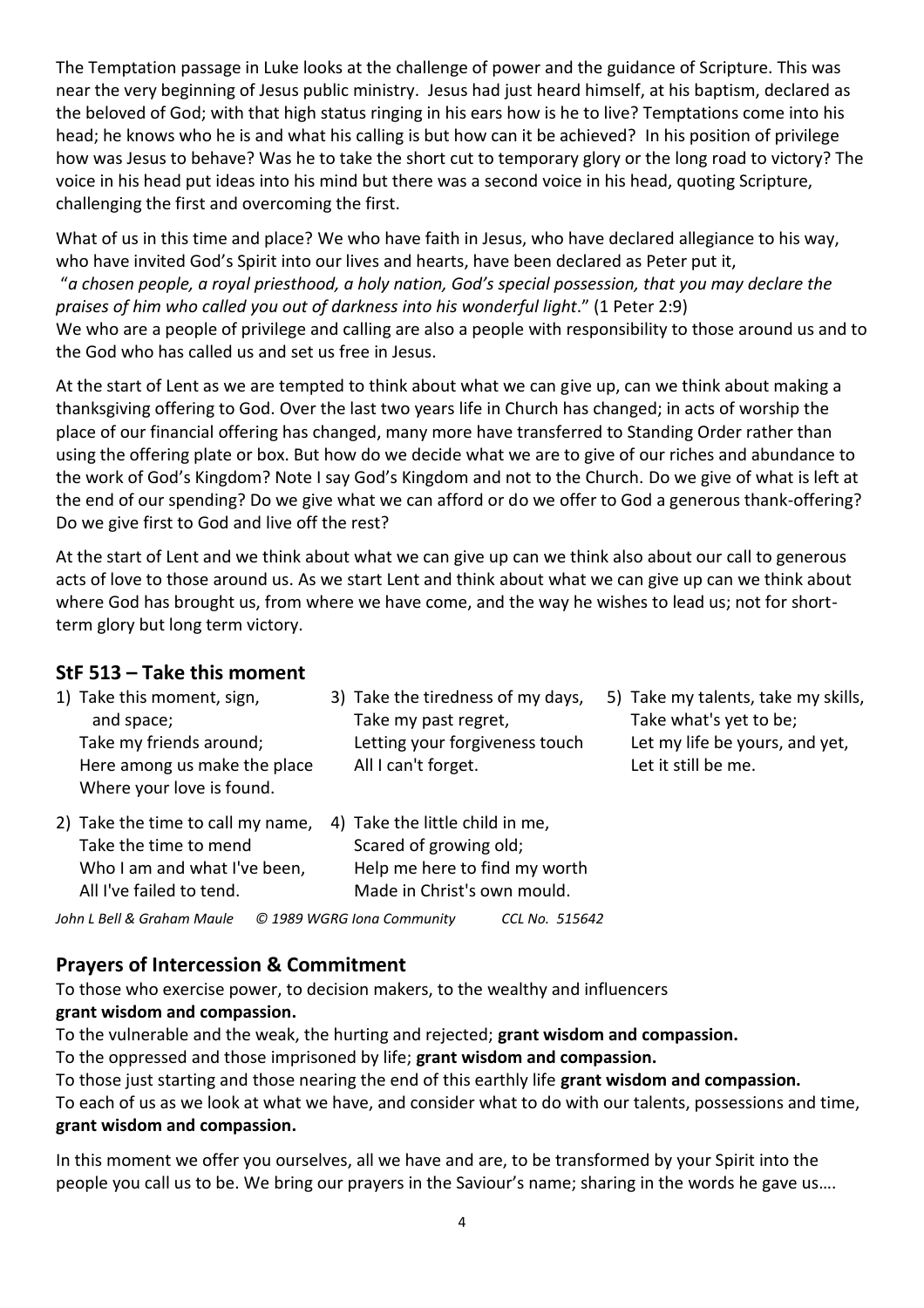The Temptation passage in Luke looks at the challenge of power and the guidance of Scripture. This was near the very beginning of Jesus public ministry. Jesus had just heard himself, at his baptism, declared as the beloved of God; with that high status ringing in his ears how is he to live? Temptations come into his head; he knows who he is and what his calling is but how can it be achieved? In his position of privilege how was Jesus to behave? Was he to take the short cut to temporary glory or the long road to victory? The voice in his head put ideas into his mind but there was a second voice in his head, quoting Scripture, challenging the first and overcoming the first.

What of us in this time and place? We who have faith in Jesus, who have declared allegiance to his way, who have invited God's Spirit into our lives and hearts, have been declared as Peter put it, "*a chosen people, a royal priesthood, a holy nation, God's special possession, that you may declare the praises of him who called you out of darkness into his wonderful light*." (1 Peter 2:9) We who are a people of privilege and calling are also a people with responsibility to those around us and to the God who has called us and set us free in Jesus.

At the start of Lent as we are tempted to think about what we can give up, can we think about making a thanksgiving offering to God. Over the last two years life in Church has changed; in acts of worship the place of our financial offering has changed, many more have transferred to Standing Order rather than using the offering plate or box. But how do we decide what we are to give of our riches and abundance to the work of God's Kingdom? Note I say God's Kingdom and not to the Church. Do we give of what is left at the end of our spending? Do we give what we can afford or do we offer to God a generous thank-offering? Do we give first to God and live off the rest?

At the start of Lent and we think about what we can give up can we think also about our call to generous acts of love to those around us. As we start Lent and think about what we can give up can we think about where God has brought us, from where we have come, and the way he wishes to lead us; not for shortterm glory but long term victory.

#### **StF 513 – Take this moment**

| 1) Take this moment, sign,<br>and space;<br>Take my friends around;<br>Here among us make the place<br>Where your love is found. | 3) Take the tiredness of my days,<br>Take my past regret,<br>Letting your forgiveness touch<br>All I can't forget.        | 5) Take my talents, take my skills,<br>Take what's yet to be;<br>Let my life be yours, and yet,<br>Let it still be me. |
|----------------------------------------------------------------------------------------------------------------------------------|---------------------------------------------------------------------------------------------------------------------------|------------------------------------------------------------------------------------------------------------------------|
| 2) Take the time to call my name,<br>Take the time to mend<br>Who I am and what I've been,<br>All I've failed to tend.           | 4) Take the little child in me,<br>Scared of growing old;<br>Help me here to find my worth<br>Made in Christ's own mould. |                                                                                                                        |

*John L Bell & Graham Maule © 1989 WGRG Iona Community CCL No. 515642*

## **Prayers of Intercession & Commitment**

To those who exercise power, to decision makers, to the wealthy and influencers **grant wisdom and compassion.**

To the vulnerable and the weak, the hurting and rejected; **grant wisdom and compassion.** To the oppressed and those imprisoned by life; **grant wisdom and compassion.** To those just starting and those nearing the end of this earthly life **grant wisdom and compassion.** To each of us as we look at what we have, and consider what to do with our talents, possessions and time,

#### **grant wisdom and compassion.**

In this moment we offer you ourselves, all we have and are, to be transformed by your Spirit into the people you call us to be. We bring our prayers in the Saviour's name; sharing in the words he gave us….